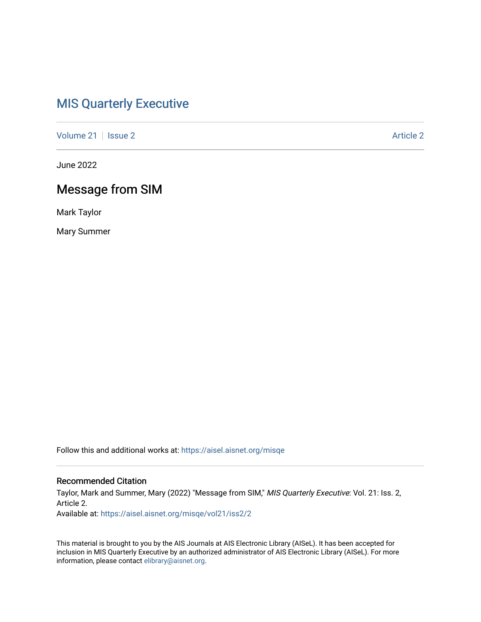## [MIS Quarterly Executive](https://aisel.aisnet.org/misqe)

[Volume 21](https://aisel.aisnet.org/misqe/vol21) | [Issue 2](https://aisel.aisnet.org/misqe/vol21/iss2) [Article 2](https://aisel.aisnet.org/misqe/vol21/iss2/2) Article 2 Article 2 Article 2 Article 2 Article 2

June 2022

# Message from SIM

Mark Taylor

Mary Summer

Follow this and additional works at: [https://aisel.aisnet.org/misqe](https://aisel.aisnet.org/misqe?utm_source=aisel.aisnet.org%2Fmisqe%2Fvol21%2Fiss2%2F2&utm_medium=PDF&utm_campaign=PDFCoverPages)

#### Recommended Citation

Taylor, Mark and Summer, Mary (2022) "Message from SIM," MIS Quarterly Executive: Vol. 21: Iss. 2, Article 2.

Available at: [https://aisel.aisnet.org/misqe/vol21/iss2/2](https://aisel.aisnet.org/misqe/vol21/iss2/2?utm_source=aisel.aisnet.org%2Fmisqe%2Fvol21%2Fiss2%2F2&utm_medium=PDF&utm_campaign=PDFCoverPages)

This material is brought to you by the AIS Journals at AIS Electronic Library (AISeL). It has been accepted for inclusion in MIS Quarterly Executive by an authorized administrator of AIS Electronic Library (AISeL). For more information, please contact [elibrary@aisnet.org.](mailto:elibrary@aisnet.org%3E)